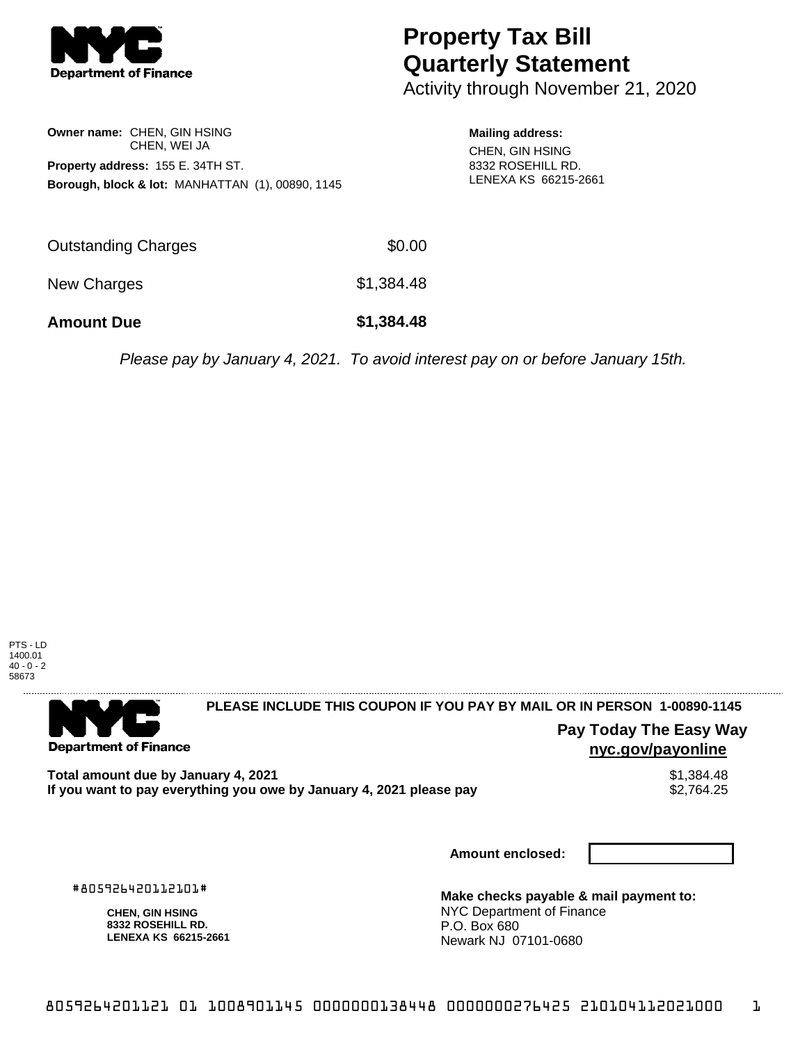

## **Property Tax Bill Quarterly Statement**

Activity through November 21, 2020

| Owner name: CHEN, GIN HSING<br>CHEN, WEI JA                 |  |
|-------------------------------------------------------------|--|
| Property address: 155 E. 34TH ST.                           |  |
| <b>Borough, block &amp; lot: MANHATTAN (1), 00890, 1145</b> |  |

**Mailing address:**

CHEN, GIN HSING 8332 ROSEHILL RD. LENEXA KS 66215-2661

| <b>Amount Due</b>   | \$1,384.48 |
|---------------------|------------|
| New Charges         | \$1,384.48 |
| Outstanding Charges | \$0.00     |

Please pay by January 4, 2021. To avoid interest pay on or before January 15th.



. . . . . . . . . . . . . . . .

**Department of Finance** 

**PLEASE INCLUDE THIS COUPON IF YOU PAY BY MAIL OR IN PERSON 1-00890-1145** 

**Pay Today The Easy Way nyc.gov/payonline**

**Total amount due by January 4, 2021**<br>If you want to pay everything you owe by January 4, 2021 please pay **show that the summer way.** \$2,764.25 If you want to pay everything you owe by January 4, 2021 please pay

**Amount enclosed:**

#805926420112101#

**CHEN, GIN HSING 8332 ROSEHILL RD. LENEXA KS 66215-2661**

**Make checks payable & mail payment to:** NYC Department of Finance P.O. Box 680 Newark NJ 07101-0680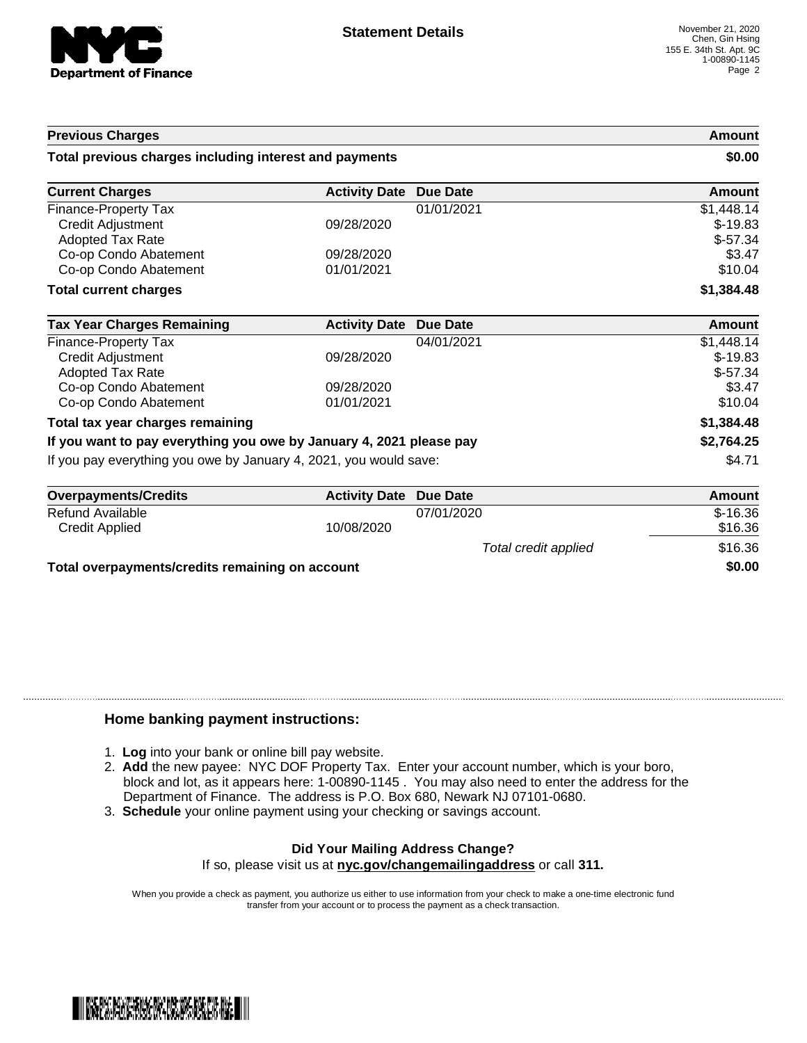

| <b>Previous Charges</b>                                             |                               |            | <b>Amount</b> |
|---------------------------------------------------------------------|-------------------------------|------------|---------------|
| Total previous charges including interest and payments              |                               | \$0.00     |               |
| <b>Current Charges</b>                                              | <b>Activity Date</b>          | Due Date   | Amount        |
| Finance-Property Tax                                                |                               | 01/01/2021 | \$1,448.14    |
| <b>Credit Adjustment</b>                                            | 09/28/2020                    |            | $$-19.83$     |
| <b>Adopted Tax Rate</b>                                             |                               |            | $$-57.34$     |
| Co-op Condo Abatement                                               | 09/28/2020                    |            | \$3.47        |
| Co-op Condo Abatement                                               | 01/01/2021                    |            | \$10.04       |
| <b>Total current charges</b>                                        |                               |            | \$1,384.48    |
| <b>Tax Year Charges Remaining</b>                                   | <b>Activity Date</b>          | Due Date   | <b>Amount</b> |
| Finance-Property Tax                                                |                               | 04/01/2021 | \$1,448.14    |
| Credit Adjustment                                                   | 09/28/2020                    |            | $$-19.83$     |
| <b>Adopted Tax Rate</b>                                             |                               |            | $$-57.34$     |
| Co-op Condo Abatement                                               | 09/28/2020                    |            | \$3.47        |
| Co-op Condo Abatement                                               | 01/01/2021                    |            | \$10.04       |
| Total tax year charges remaining                                    |                               |            | \$1,384.48    |
| If you want to pay everything you owe by January 4, 2021 please pay |                               | \$2,764.25 |               |
| If you pay everything you owe by January 4, 2021, you would save:   |                               | \$4.71     |               |
| <b>Overpayments/Credits</b>                                         | <b>Activity Date Due Date</b> |            | Amount        |

| <b>Overpayments/Credits</b>                     | <b>Activity Date Due Date</b> |                      | Amount    |
|-------------------------------------------------|-------------------------------|----------------------|-----------|
| Refund Available                                |                               | 07/01/2020           | $$-16.36$ |
| Credit Applied                                  | 10/08/2020                    |                      | \$16.36   |
|                                                 |                               | Total credit applied | \$16.36   |
| Total overpayments/credits remaining on account |                               |                      | \$0.00    |

## **Home banking payment instructions:**

- 1. **Log** into your bank or online bill pay website.
- 2. **Add** the new payee: NYC DOF Property Tax. Enter your account number, which is your boro, block and lot, as it appears here: 1-00890-1145 . You may also need to enter the address for the Department of Finance. The address is P.O. Box 680, Newark NJ 07101-0680.
- 3. **Schedule** your online payment using your checking or savings account.

## **Did Your Mailing Address Change?**

If so, please visit us at **nyc.gov/changemailingaddress** or call **311.**

When you provide a check as payment, you authorize us either to use information from your check to make a one-time electronic fund transfer from your account or to process the payment as a check transaction.